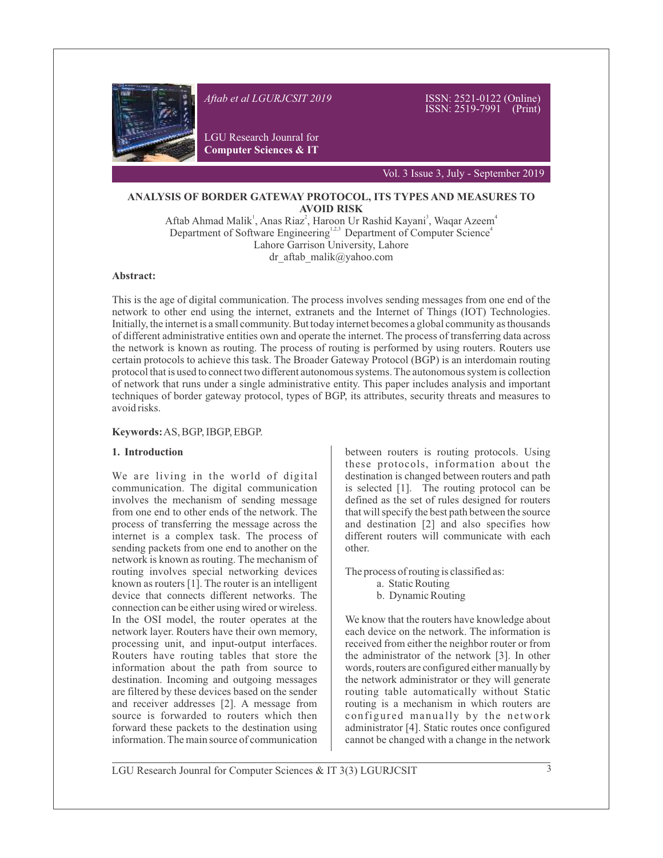

#### **ANALYSIS OF BORDER GATEWAY PROTOCOL, ITS TYPES AND MEASURES TO AVOID RISK**

Aftab Ahmad Malik<sup>1</sup>, Anas Riaz<sup>2</sup>, Haroon Ur Rashid Kayani<sup>3</sup>, Waqar Azeem<sup>4</sup> Department of Software Engineering<sup>1,2,3</sup> Department of Computer Science<sup>4</sup> Lahore Garrison University, Lahore dr aftab malik@yahoo.com

#### **Abstract:**

This is the age of digital communication. The process involves sending messages from one end of the network to other end using the internet, extranets and the Internet of Things (IOT) Technologies. Initially, the internet is a small community. But today internet becomes a global community as thousands of different administrative entities own and operate the internet. The process of transferring data across the network is known as routing. The process of routing is performed by using routers. Routers use certain protocols to achieve this task. The Broader Gateway Protocol (BGP) is an interdomain routing protocol that is used to connect two different autonomous systems. The autonomous system is collection of network that runs under a single administrative entity. This paper includes analysis and important techniques of border gateway protocol, types of BGP, its attributes, security threats and measures to avoid risks.

#### **Keywords:**AS, BGP, IBGP, EBGP.

### **1. Introduction**

We are living in the world of digital communication. The digital communication involves the mechanism of sending message from one end to other ends of the network. The process of transferring the message across the internet is a complex task. The process of sending packets from one end to another on the network is known as routing. The mechanism of routing involves special networking devices known as routers [1]. The router is an intelligent device that connects different networks. The connection can be either using wired or wireless. In the OSI model, the router operates at the network layer. Routers have their own memory, processing unit, and input-output interfaces. Routers have routing tables that store the information about the path from source to destination. Incoming and outgoing messages are filtered by these devices based on the sender and receiver addresses [2]. A message from source is forwarded to routers which then forward these packets to the destination using information. The main source of communication

between routers is routing protocols. Using these protocols, information about the destination is changed between routers and path is selected [1]. The routing protocol can be defined as the set of rules designed for routers that will specify the best path between the source and destination [2] and also specifies how different routers will communicate with each other.

The process of routing is classified as:

- a. Static Routing
	- b. Dynamic Routing

We know that the routers have knowledge about each device on the network. The information is received from either the neighbor router or from the administrator of the network [3]. In other words, routers are configured either manually by the network administrator or they will generate routing table automatically without Static routing is a mechanism in which routers are configured manually by the network administrator [4]. Static routes once configured cannot be changed with a change in the network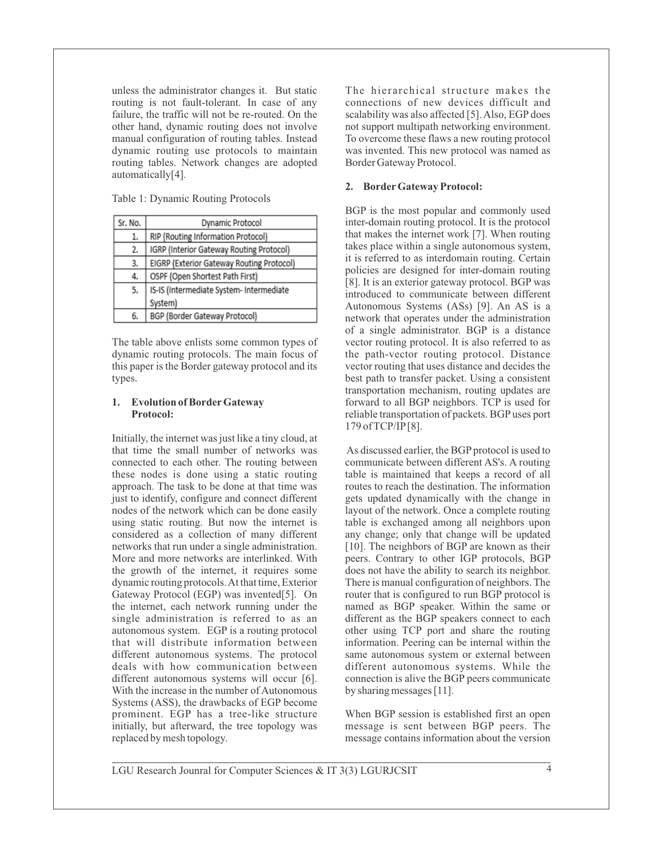unless the administrator changes it. But static routing is not fault-tolerant. In case of any failure, the traffic will not be re-routed. On the other hand, dynamic routing does not involve manual configuration of routing tables. Instead dynamic routing use protocols to maintain routing tables. Network changes are adopted automatically[4].

Table 1: Dynamic Routing Protocols

| Sr. No. | Dynamic Protocol                          |  |  |
|---------|-------------------------------------------|--|--|
| 1.      | RIP (Routing Information Protocol)        |  |  |
| 2.      | IGRP (Interior Gateway Routing Protocol)  |  |  |
| 3.      | EIGRP (Exterior Gateway Routing Protocol) |  |  |
| 4.      | OSPF (Open Shortest Path First)           |  |  |
| 5.      | IS-IS (Intermediate System- Intermediate  |  |  |
|         | System)                                   |  |  |
| 6.      | BGP (Border Gateway Protocol)             |  |  |
|         |                                           |  |  |

The table above enlists some common types of dynamic routing protocols. The main focus of this paper is the Border gateway protocol and its types.

### **1. Evolution of BorderGateway Protocol:**

Initially, the internet was just like a tiny cloud, at that time the small number of networks was connected to each other. The routing between these nodes is done using a static routing approach. The task to be done at that time was just to identify, configure and connect different nodes of the network which can be done easily using static routing. But now the internet is considered as a collection of many different networks that run under a single administration. More and more networks are interlinked. With the growth of the internet, it requires some dynamic routing protocols. At that time, Exterior Gateway Protocol (EGP) was invented[5]. On the internet, each network running under the single administration is referred to as an autonomous system. EGP is a routing protocol that will distribute information between different autonomous systems. The protocol deals with how communication between different autonomous systems will occur [6]. With the increase in the number of Autonomous Systems (ASS), the drawbacks of EGP become prominent. EGP has a tree-like structure initially, but afterward, the tree topology was replaced by mesh topology.

The hierarchical structure makes the connections of new devices difficult and scalability was also affected [5]. Also, EGP does not support multipath networking environment. To overcome these flaws a new routing protocol was invented. This new protocol was named as Border Gateway Protocol.

### **2. BorderGateway Protocol:**

BGP is the most popular and commonly used inter-domain routing protocol. It is the protocol that makes the internet work [7]. When routing takes place within a single autonomous system, it is referred to as interdomain routing. Certain policies are designed for inter-domain routing [8]. It is an exterior gateway protocol. BGP was introduced to communicate between different Autonomous Systems (ASs) [9]. An AS is a network that operates under the administration of a single administrator. BGP is a distance vector routing protocol. It is also referred to as the path-vector routing protocol. Distance vector routing that uses distance and decides the best path to transfer packet. Using a consistent transportation mechanism, routing updates are forward to all BGP neighbors. TCP is used for reliable transportation of packets. BGP uses port 179 of TCP/IP[8].

As discussed earlier, the BGP protocol is used to communicate between different AS's. A routing table is maintained that keeps a record of all routes to reach the destination. The information gets updated dynamically with the change in layout of the network. Once a complete routing table is exchanged among all neighbors upon any change; only that change will be updated [10]. The neighbors of BGP are known as their peers. Contrary to other IGP protocols, BGP does not have the ability to search its neighbor. There is manual configuration of neighbors. The router that is configured to run BGP protocol is named as BGP speaker. Within the same or different as the BGP speakers connect to each other using TCP port and share the routing information. Peering can be internal within the same autonomous system or external between different autonomous systems. While the connection is alive the BGP peers communicate by sharing messages [11].

When BGP session is established first an open message is sent between BGP peers. The message contains information about the version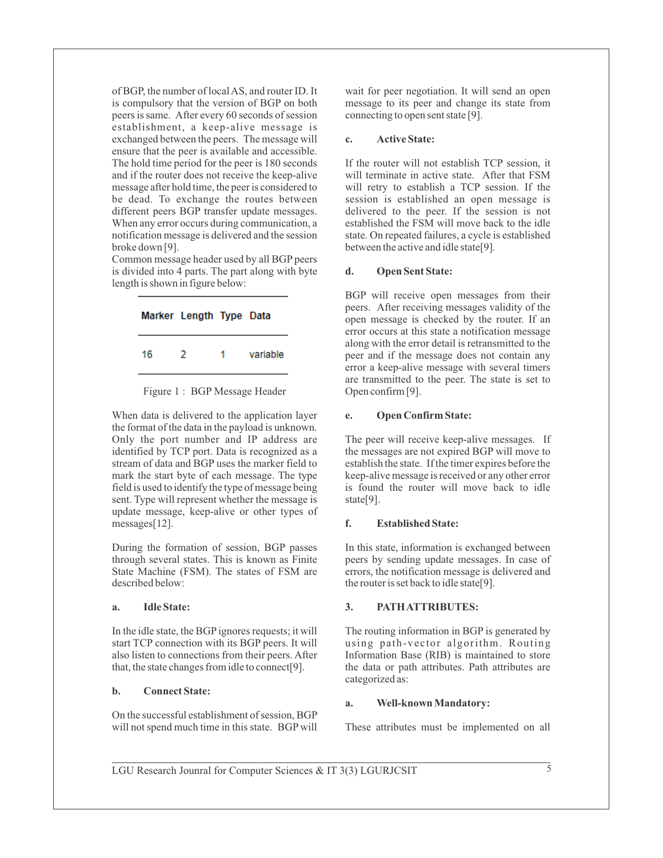of BGP, the number of local AS, and router ID. It is compulsory that the version of BGP on both peers is same. After every 60 seconds of session establishment, a keep-alive message is exchanged between the peers. The message will ensure that the peer is available and accessible. The hold time period for the peer is 180 seconds and if the router does not receive the keep-alive message after hold time, the peer is considered to be dead. To exchange the routes between different peers BGP transfer update messages. When any error occurs during communication, a notification message is delivered and the session broke down [9].

Common message header used by all BGP peers is divided into 4 parts. The part along with byte length is shown in figure below:





When data is delivered to the application layer the format of the data in the payload is unknown. Only the port number and IP address are identified by TCP port. Data is recognized as a stream of data and BGP uses the marker field to mark the start byte of each message. The type field is used to identify the type of message being sent. Type will represent whether the message is update message, keep-alive or other types of messages[12].

During the formation of session, BGP passes through several states. This is known as Finite State Machine (FSM). The states of FSM are described below:

### **a. Idle State:**

In the idle state, the BGPignores requests; it will start TCP connection with its BGP peers. It will also listen to connections from their peers. After that, the state changes from idle to connect[9].

## **b. Connect State:**

On the successful establishment of session, BGP will not spend much time in this state. BGP will wait for peer negotiation. It will send an open message to its peer and change its state from connecting to open sent state [9].

### **c. Active State:**

If the router will not establish TCP session, it will terminate in active state. After that FSM will retry to establish a TCP session. If the session is established an open message is delivered to the peer. If the session is not established the FSM will move back to the idle state. On repeated failures, a cycle is established between the active and idle state[9].

### **d. Open Sent State:**

BGP will receive open messages from their peers. After receiving messages validity of the open message is checked by the router. If an error occurs at this state a notification message along with the error detail is retransmitted to the peer and if the message does not contain any error a keep-alive message with several timers are transmitted to the peer. The state is set to Open confirm [9].

### **e. Open Confirm State:**

The peer will receive keep-alive messages. If the messages are not expired BGP will move to establish the state. If the timer expires before the keep-alive message is received or any other error is found the router will move back to idle state<sup>[9]</sup>.

### **f. Established State:**

In this state, information is exchanged between peers by sending update messages. In case of errors, the notification message is delivered and the router is set back to idle state[9].

## **3. PATH ATTRIBUTES:**

The routing information in BGP is generated by using path-vector algorithm. Routing Information Base (RIB) is maintained to store the data or path attributes. Path attributes are categorized as:

## **a. Well-known Mandatory:**

These attributes must be implemented on all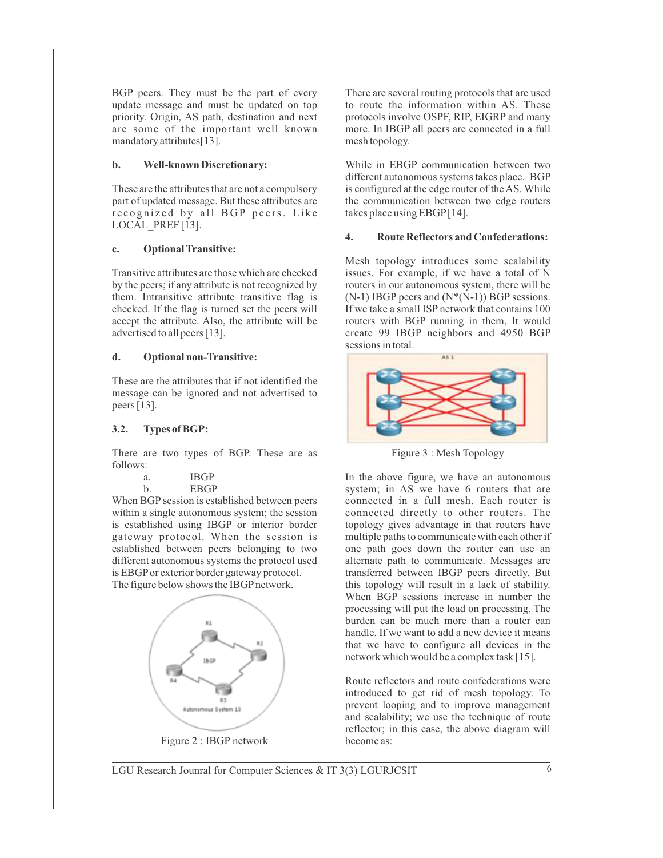BGP peers. They must be the part of every update message and must be updated on top priority. Origin, AS path, destination and next are some of the important well known mandatory attributes[13].

### **b. Well-known Discretionary:**

These are the attributes that are not a compulsory part of updated message. But these attributes are recognized by all BGP peers. Like LOCAL PREF [13].

### **c. Optional Transitive:**

Transitive attributes are those which are checked by the peers; if any attribute is not recognized by them. Intransitive attribute transitive flag is checked. If the flag is turned set the peers will accept the attribute. Also, the attribute will be advertised to all peers [13].

### **d. Optional non-Transitive:**

These are the attributes that if not identified the message can be ignored and not advertised to peers [13].

### **3.2. Types of BGP:**

There are two types of BGP. These are as follows:

| а. | <b>IBGP</b> |
|----|-------------|
| b. | <b>EBGP</b> |

When BGP session is established between peers within a single autonomous system; the session is established using IBGP or interior border gateway protocol. When the session is established between peers belonging to two different autonomous systems the protocol used is EBGPor exterior border gateway protocol. The figure below shows the IBGP network.



Figure 2 : IBGP network

There are several routing protocols that are used to route the information within AS. These protocols involve OSPF, RIP, EIGRP and many more. In IBGP all peers are connected in a full mesh topology.

While in EBGP communication between two different autonomous systems takes place. BGP is configured at the edge router of the AS. While the communication between two edge routers takes place using EBGP[14].

### **4. Route Reflectors and Confederations:**

Mesh topology introduces some scalability issues. For example, if we have a total of N routers in our autonomous system, there will be  $(N-1)$  IBGP peers and  $(N*(N-1))$  BGP sessions. If we take a small ISP network that contains 100 routers with BGP running in them, It would create 99 IBGP neighbors and 4950 BGP sessions in total.



Figure 3 : Mesh Topology

In the above figure, we have an autonomous system; in AS we have 6 routers that are connected in a full mesh. Each router is connected directly to other routers. The topology gives advantage in that routers have multiple paths to communicate with each other if one path goes down the router can use an alternate path to communicate. Messages are transferred between IBGP peers directly. But this topology will result in a lack of stability. When BGP sessions increase in number the processing will put the load on processing. The burden can be much more than a router can handle. If we want to add a new device it means that we have to configure all devices in the network which would be a complex task [15].

Route reflectors and route confederations were introduced to get rid of mesh topology. To prevent looping and to improve management and scalability; we use the technique of route reflector; in this case, the above diagram will become as: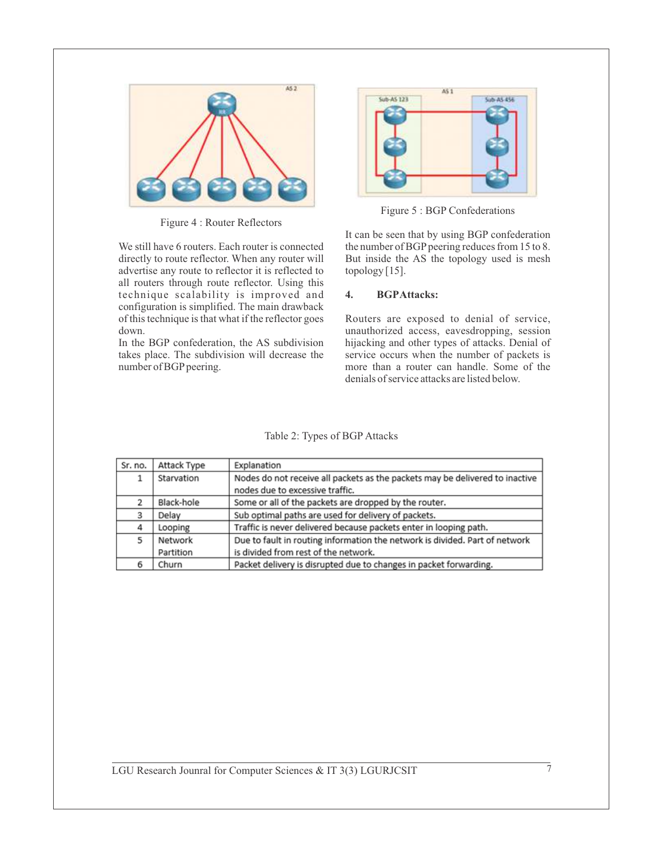

Figure 4 : Router Reflectors

We still have 6 routers. Each router is connected directly to route reflector. When any router will advertise any route to reflector it is reflected to all routers through route reflector. Using this technique scalability is improved and configuration is simplified. The main drawback of this technique is that what if the reflector goes down.

In the BGP confederation, the AS subdivision takes place. The subdivision will decrease the number of BGP peering.



Figure 5 : BGP Confederations

It can be seen that by using BGP confederation the number of BGP peering reduces from 15 to 8. But inside the AS the topology used is mesh topology [15].

## **4. BGPAttacks:**

Routers are exposed to denial of service, unauthorized access, eavesdropping, session hijacking and other types of attacks. Denial of service occurs when the number of packets is more than a router can handle. Some of the denials of service attacks are listed below.

| Sr. no. | Attack Type | Explanation                                                                  |
|---------|-------------|------------------------------------------------------------------------------|
| 1       | Starvation  | Nodes do not receive all packets as the packets may be delivered to inactive |
|         |             | nodes due to excessive traffic.                                              |
| 2       | Black-hole  | Some or all of the packets are dropped by the router.                        |
| 3       | Delay       | Sub optimal paths are used for delivery of packets.                          |
| 4       | Looping     | Traffic is never delivered because packets enter in looping path.            |
| 5       | Network     | Due to fault in routing information the network is divided. Part of network  |
|         | Partition   | is divided from rest of the network.                                         |
| 6       | Churn       | Packet delivery is disrupted due to changes in packet forwarding.            |

Table 2: Types of BGP Attacks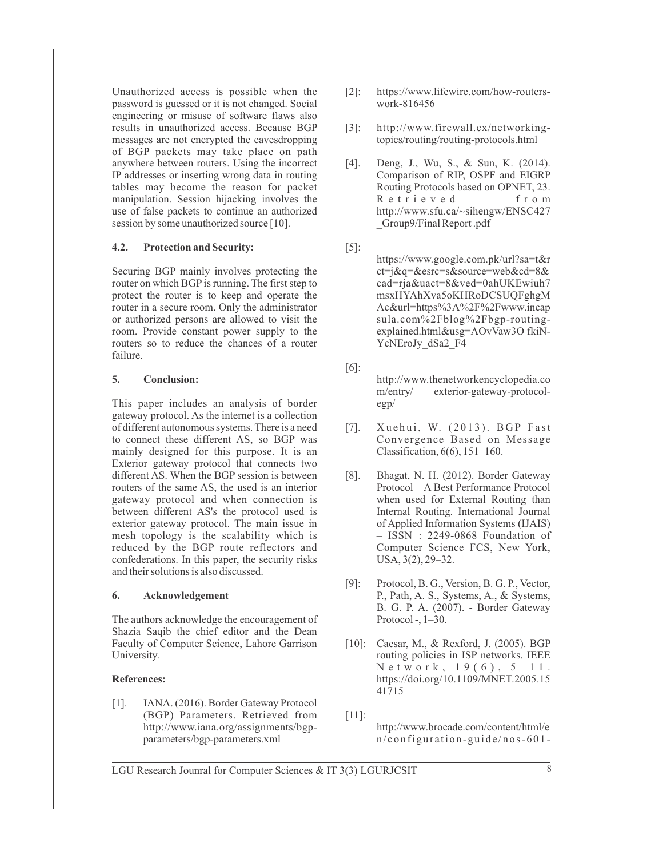Unauthorized access is possible when the password is guessed or it is not changed. Social engineering or misuse of software flaws also results in unauthorized access. Because BGP messages are not encrypted the eavesdropping of BGP packets may take place on path anywhere between routers. Using the incorrect IP addresses or inserting wrong data in routing tables may become the reason for packet manipulation. Session hijacking involves the use of false packets to continue an authorized session by some unauthorized source [10].

## **4.2. Protection and Security:**

Securing BGP mainly involves protecting the router on which BGP is running. The first step to protect the router is to keep and operate the router in a secure room. Only the administrator or authorized persons are allowed to visit the room. Provide constant power supply to the routers so to reduce the chances of a router failure.

## **5. Conclusion:**

This paper includes an analysis of border gateway protocol. As the internet is a collection of different autonomous systems. There is a need to connect these different AS, so BGP was mainly designed for this purpose. It is an Exterior gateway protocol that connects two different AS. When the BGP session is between routers of the same AS, the used is an interior gateway protocol and when connection is between different AS's the protocol used is exterior gateway protocol. The main issue in mesh topology is the scalability which is reduced by the BGP route reflectors and confederations. In this paper, the security risks and their solutions is also discussed.

## **6. Acknowledgement**

The authors acknowledge the encouragement of Shazia Saqib the chief editor and the Dean Faculty of Computer Science, Lahore Garrison University.

# **References:**

[1]. IANA. (2016). Border Gateway Protocol (BGP) Parameters. Retrieved from http://www.iana.org/assignments/bgpparameters/bgp-parameters.xml

- [2]: https://www.lifewire.com/how-routerswork-816456
- [3]: http://www.firewall.cx/networkingtopics/routing/routing-protocols.html
- [4]. Deng, J., Wu, S., & Sun, K. (2014). Comparison of RIP, OSPF and EIGRP Routing Protocols based on OPNET, 23. R e t r i e v e d f r o m http://www.sfu.ca/~sihengw/ENSC427 \_Group9/Final Report .pdf
- [5]: https://www.google.com.pk/url?sa=t&r ct=j&q=&esrc=s&source=web&cd=8& cad=rja&uact=8&ved=0ahUKEwiuh7 msxHYAhXva5oKHRoDCSUQFghgM Ac&url=https%3A%2F%2Fwww.incap sula.com%2Fblog%2Fbgp-routingexplained.html&usg=AOvVaw3O fkiN-YcNEroJy dSa2\_F4
- [6]:
	- http://www.thenetworkencyclopedia.co m/entry/ exterior-gateway-protocolegp/
- [7]. Xuehui, W. (2013). BGP Fast Convergence Based on Message Classification, 6(6), 151–160.
- [8]. Bhagat, N. H. (2012). Border Gateway Protocol – A Best Performance Protocol when used for External Routing than Internal Routing. International Journal of Applied Information Systems (IJAIS) – ISSN : 2249-0868 Foundation of Computer Science FCS, New York, USA, 3(2), 29–32.
- [9]: Protocol, B. G., Version, B. G. P., Vector, P., Path, A. S., Systems, A., & Systems, B. G. P. A. (2007). - Border Gateway Protocol -,  $1-30$ .
- [10]: Caesar, M., & Rexford, J. (2005). BGP routing policies in ISP networks. IEEE N e t w o r k,  $19(6)$ ,  $5 - 11$ . https://doi.org/10.1109/MNET.2005.15 41715
- [11]: http://www.brocade.com/content/html/e  $n$ / configuration-guide/nos-601-